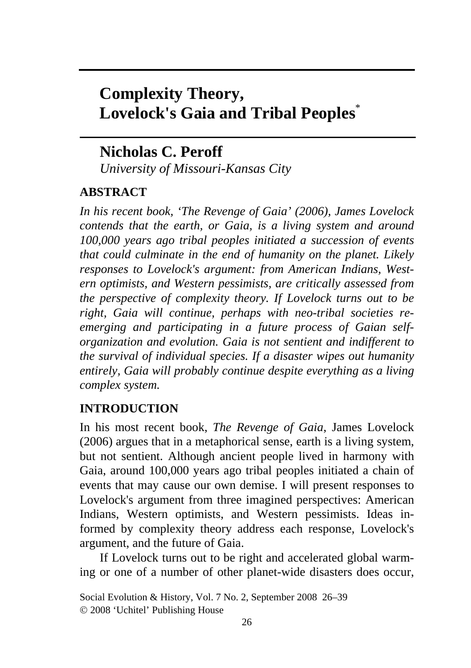# **Complexity Theory, Lovelock's Gaia and Tribal Peoples**\*

## **Nicholas C. Peroff**

*University of Missouri-Kansas City* 

### **ABSTRACT**

*In his recent book, 'The Revenge of Gaia' (2006), James Lovelock contends that the earth, or Gaia, is a living system and around 100,000 years ago tribal peoples initiated a succession of events that could culminate in the end of humanity on the planet. Likely responses to Lovelock's argument: from American Indians, Western optimists, and Western pessimists, are critically assessed from the perspective of complexity theory. If Lovelock turns out to be right, Gaia will continue, perhaps with neo-tribal societies reemerging and participating in a future process of Gaian selforganization and evolution. Gaia is not sentient and indifferent to the survival of individual species. If a disaster wipes out humanity entirely, Gaia will probably continue despite everything as a living complex system.* 

## **INTRODUCTION**

In his most recent book, *The Revenge of Gaia*, James Lovelock (2006) argues that in a metaphorical sense, earth is a living system, but not sentient. Although ancient people lived in harmony with Gaia, around 100,000 years ago tribal peoples initiated a chain of events that may cause our own demise. I will present responses to Lovelock's argument from three imagined perspectives: American Indians, Western optimists, and Western pessimists. Ideas informed by complexity theory address each response, Lovelock's argument, and the future of Gaia.

If Lovelock turns out to be right and accelerated global warming or one of a number of other planet-wide disasters does occur,

Social Evolution & History, Vol. 7 No. 2, September 2008 26–39 © 2008 'Uchitel' Publishing House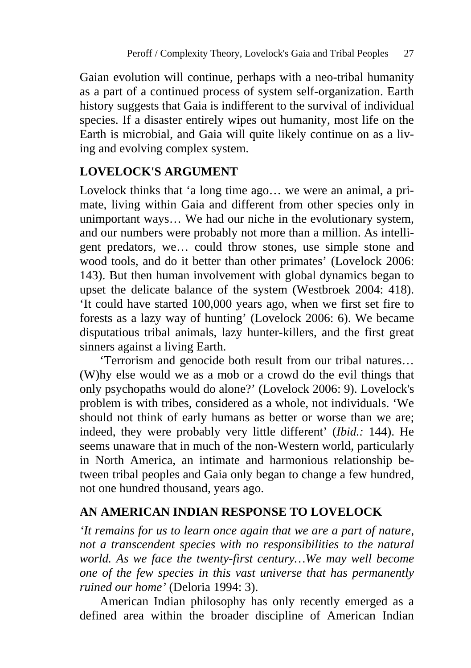Gaian evolution will continue, perhaps with a neo-tribal humanity as a part of a continued process of system self-organization. Earth history suggests that Gaia is indifferent to the survival of individual species. If a disaster entirely wipes out humanity, most life on the Earth is microbial, and Gaia will quite likely continue on as a living and evolving complex system.

## **LOVELOCK'S ARGUMENT**

Lovelock thinks that 'a long time ago… we were an animal, a primate, living within Gaia and different from other species only in unimportant ways… We had our niche in the evolutionary system, and our numbers were probably not more than a million. As intelligent predators, we… could throw stones, use simple stone and wood tools, and do it better than other primates' (Lovelock 2006: 143). But then human involvement with global dynamics began to upset the delicate balance of the system (Westbroek 2004: 418). 'It could have started 100,000 years ago, when we first set fire to forests as a lazy way of hunting' (Lovelock 2006: 6). We became disputatious tribal animals, lazy hunter-killers, and the first great sinners against a living Earth.

'Terrorism and genocide both result from our tribal natures… (W)hy else would we as a mob or a crowd do the evil things that only psychopaths would do alone?' (Lovelock 2006: 9). Lovelock's problem is with tribes, considered as a whole, not individuals. 'We should not think of early humans as better or worse than we are; indeed, they were probably very little different' (*Ibid.:* 144). He seems unaware that in much of the non-Western world, particularly in North America, an intimate and harmonious relationship between tribal peoples and Gaia only began to change a few hundred, not one hundred thousand, years ago.

## **AN AMERICAN INDIAN RESPONSE TO LOVELOCK**

*'It remains for us to learn once again that we are a part of nature, not a transcendent species with no responsibilities to the natural world. As we face the twenty-first century…We may well become one of the few species in this vast universe that has permanently ruined our home'* (Deloria 1994: 3).

American Indian philosophy has only recently emerged as a defined area within the broader discipline of American Indian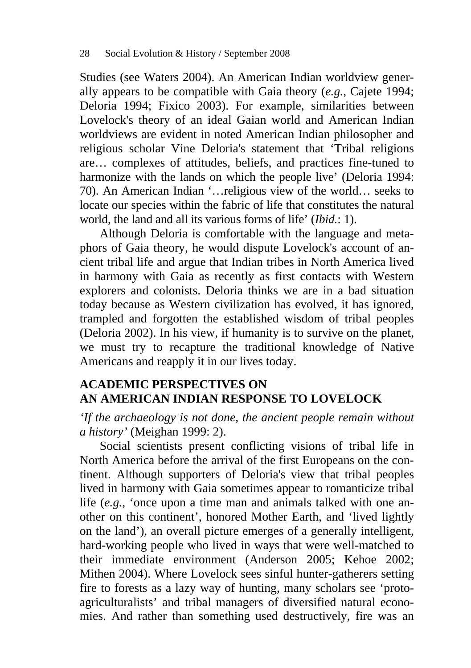Studies (see Waters 2004). An American Indian worldview generally appears to be compatible with Gaia theory (*e.g.*, Cajete 1994; Deloria 1994; Fixico 2003). For example, similarities between Lovelock's theory of an ideal Gaian world and American Indian worldviews are evident in noted American Indian philosopher and religious scholar Vine Deloria's statement that 'Tribal religions are… complexes of attitudes, beliefs, and practices fine-tuned to harmonize with the lands on which the people live' (Deloria 1994: 70). An American Indian '…religious view of the world… seeks to locate our species within the fabric of life that constitutes the natural world, the land and all its various forms of life' (*Ibid.*: 1).

Although Deloria is comfortable with the language and metaphors of Gaia theory, he would dispute Lovelock's account of ancient tribal life and argue that Indian tribes in North America lived in harmony with Gaia as recently as first contacts with Western explorers and colonists. Deloria thinks we are in a bad situation today because as Western civilization has evolved, it has ignored, trampled and forgotten the established wisdom of tribal peoples (Deloria 2002). In his view, if humanity is to survive on the planet, we must try to recapture the traditional knowledge of Native Americans and reapply it in our lives today.

## **ACADEMIC PERSPECTIVES ON AN AMERICAN INDIAN RESPONSE TO LOVELOCK**

*'If the archaeology is not done, the ancient people remain without a history'* (Meighan 1999: 2).

Social scientists present conflicting visions of tribal life in North America before the arrival of the first Europeans on the continent. Although supporters of Deloria's view that tribal peoples lived in harmony with Gaia sometimes appear to romanticize tribal life (*e.g.*, 'once upon a time man and animals talked with one another on this continent', honored Mother Earth, and 'lived lightly on the land'), an overall picture emerges of a generally intelligent, hard-working people who lived in ways that were well-matched to their immediate environment (Anderson 2005; Kehoe 2002; Mithen 2004). Where Lovelock sees sinful hunter-gatherers setting fire to forests as a lazy way of hunting, many scholars see 'protoagriculturalists' and tribal managers of diversified natural economies. And rather than something used destructively, fire was an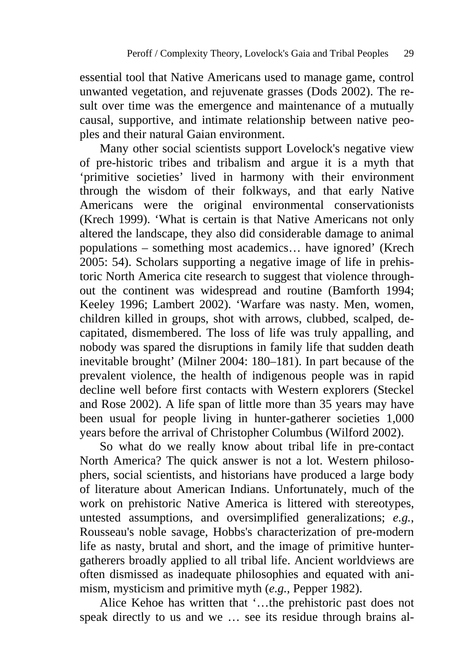essential tool that Native Americans used to manage game, control unwanted vegetation, and rejuvenate grasses (Dods 2002). The result over time was the emergence and maintenance of a mutually causal, supportive, and intimate relationship between native peoples and their natural Gaian environment.

Many other social scientists support Lovelock's negative view of pre-historic tribes and tribalism and argue it is a myth that 'primitive societies' lived in harmony with their environment through the wisdom of their folkways, and that early Native Americans were the original environmental conservationists (Krech 1999). 'What is certain is that Native Americans not only altered the landscape, they also did considerable damage to animal populations – something most academics… have ignored' (Krech 2005: 54). Scholars supporting a negative image of life in prehistoric North America cite research to suggest that violence throughout the continent was widespread and routine (Bamforth 1994; Keeley 1996; Lambert 2002). 'Warfare was nasty. Men, women, children killed in groups, shot with arrows, clubbed, scalped, decapitated, dismembered. The loss of life was truly appalling, and nobody was spared the disruptions in family life that sudden death inevitable brought' (Milner 2004: 180–181). In part because of the prevalent violence, the health of indigenous people was in rapid decline well before first contacts with Western explorers (Steckel and Rose 2002). A life span of little more than 35 years may have been usual for people living in hunter-gatherer societies 1,000 years before the arrival of Christopher Columbus (Wilford 2002).

So what do we really know about tribal life in pre-contact North America? The quick answer is not a lot. Western philosophers, social scientists, and historians have produced a large body of literature about American Indians. Unfortunately, much of the work on prehistoric Native America is littered with stereotypes, untested assumptions, and oversimplified generalizations; *e.g.*, Rousseau's noble savage, Hobbs's characterization of pre-modern life as nasty, brutal and short, and the image of primitive huntergatherers broadly applied to all tribal life. Ancient worldviews are often dismissed as inadequate philosophies and equated with animism, mysticism and primitive myth (*e.g.,* Pepper 1982).

Alice Kehoe has written that '…the prehistoric past does not speak directly to us and we … see its residue through brains al-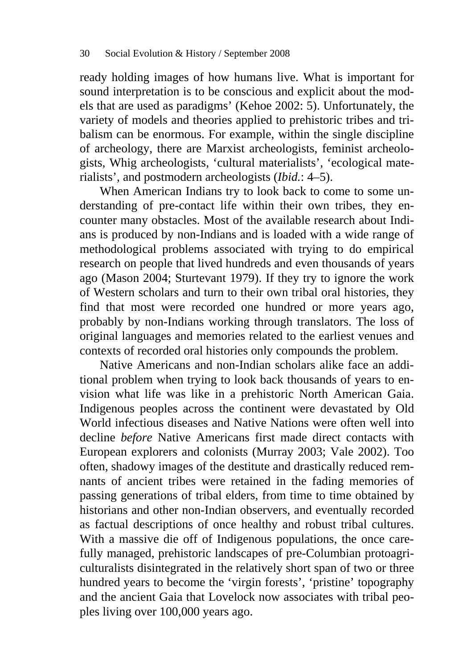ready holding images of how humans live. What is important for sound interpretation is to be conscious and explicit about the models that are used as paradigms' (Kehoe 2002: 5). Unfortunately, the variety of models and theories applied to prehistoric tribes and tribalism can be enormous. For example, within the single discipline of archeology, there are Marxist archeologists, feminist archeologists, Whig archeologists, 'cultural materialists', 'ecological materialists', and postmodern archeologists (*Ibid.*: 4–5).

When American Indians try to look back to come to some understanding of pre-contact life within their own tribes, they encounter many obstacles. Most of the available research about Indians is produced by non-Indians and is loaded with a wide range of methodological problems associated with trying to do empirical research on people that lived hundreds and even thousands of years ago (Mason 2004; Sturtevant 1979). If they try to ignore the work of Western scholars and turn to their own tribal oral histories, they find that most were recorded one hundred or more years ago, probably by non-Indians working through translators. The loss of original languages and memories related to the earliest venues and contexts of recorded oral histories only compounds the problem.

Native Americans and non-Indian scholars alike face an additional problem when trying to look back thousands of years to envision what life was like in a prehistoric North American Gaia. Indigenous peoples across the continent were devastated by Old World infectious diseases and Native Nations were often well into decline *before* Native Americans first made direct contacts with European explorers and colonists (Murray 2003; Vale 2002). Too often, shadowy images of the destitute and drastically reduced remnants of ancient tribes were retained in the fading memories of passing generations of tribal elders, from time to time obtained by historians and other non-Indian observers, and eventually recorded as factual descriptions of once healthy and robust tribal cultures. With a massive die off of Indigenous populations, the once carefully managed, prehistoric landscapes of pre-Columbian protoagriculturalists disintegrated in the relatively short span of two or three hundred years to become the 'virgin forests', 'pristine' topography and the ancient Gaia that Lovelock now associates with tribal peoples living over 100,000 years ago.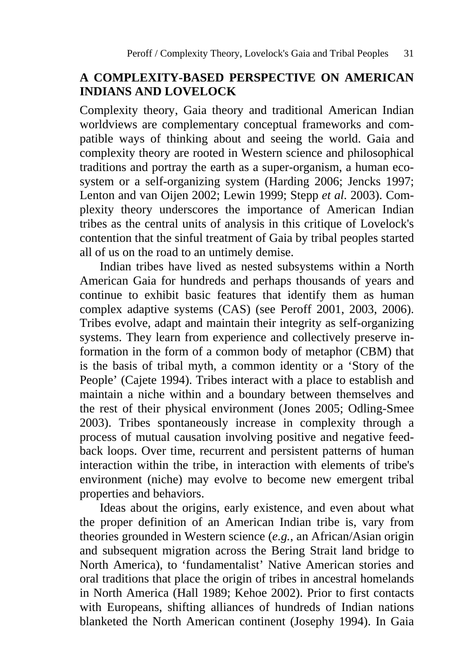### **A COMPLEXITY-BASED PERSPECTIVE ON AMERICAN INDIANS AND LOVELOCK**

Complexity theory, Gaia theory and traditional American Indian worldviews are complementary conceptual frameworks and compatible ways of thinking about and seeing the world. Gaia and complexity theory are rooted in Western science and philosophical traditions and portray the earth as a super-organism, a human ecosystem or a self-organizing system (Harding 2006; Jencks 1997; Lenton and van Oijen 2002; Lewin 1999; Stepp *et al*. 2003). Complexity theory underscores the importance of American Indian tribes as the central units of analysis in this critique of Lovelock's contention that the sinful treatment of Gaia by tribal peoples started all of us on the road to an untimely demise.

Indian tribes have lived as nested subsystems within a North American Gaia for hundreds and perhaps thousands of years and continue to exhibit basic features that identify them as human complex adaptive systems (CAS) (see Peroff 2001, 2003, 2006). Tribes evolve, adapt and maintain their integrity as self-organizing systems. They learn from experience and collectively preserve information in the form of a common body of metaphor (CBM) that is the basis of tribal myth, a common identity or a 'Story of the People' (Cajete 1994). Tribes interact with a place to establish and maintain a niche within and a boundary between themselves and the rest of their physical environment (Jones 2005; Odling-Smee 2003). Tribes spontaneously increase in complexity through a process of mutual causation involving positive and negative feedback loops. Over time, recurrent and persistent patterns of human interaction within the tribe, in interaction with elements of tribe's environment (niche) may evolve to become new emergent tribal properties and behaviors.

Ideas about the origins, early existence, and even about what the proper definition of an American Indian tribe is, vary from theories grounded in Western science (*e.g.*, an African/Asian origin and subsequent migration across the Bering Strait land bridge to North America), to 'fundamentalist' Native American stories and oral traditions that place the origin of tribes in ancestral homelands in North America (Hall 1989; Kehoe 2002). Prior to first contacts with Europeans, shifting alliances of hundreds of Indian nations blanketed the North American continent (Josephy 1994). In Gaia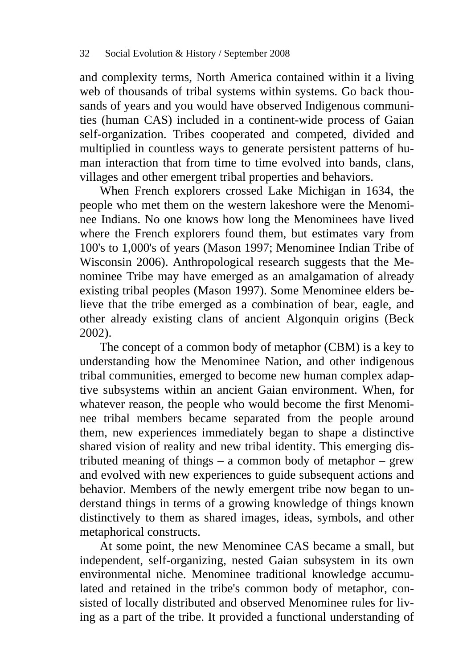and complexity terms, North America contained within it a living web of thousands of tribal systems within systems. Go back thousands of years and you would have observed Indigenous communities (human CAS) included in a continent-wide process of Gaian self-organization. Tribes cooperated and competed, divided and multiplied in countless ways to generate persistent patterns of human interaction that from time to time evolved into bands, clans, villages and other emergent tribal properties and behaviors.

When French explorers crossed Lake Michigan in 1634, the people who met them on the western lakeshore were the Menominee Indians. No one knows how long the Menominees have lived where the French explorers found them, but estimates vary from 100's to 1,000's of years (Mason 1997; Menominee Indian Tribe of Wisconsin 2006). Anthropological research suggests that the Menominee Tribe may have emerged as an amalgamation of already existing tribal peoples (Mason 1997). Some Menominee elders believe that the tribe emerged as a combination of bear, eagle, and other already existing clans of ancient Algonquin origins (Beck 2002).

The concept of a common body of metaphor (CBM) is a key to understanding how the Menominee Nation, and other indigenous tribal communities, emerged to become new human complex adaptive subsystems within an ancient Gaian environment. When, for whatever reason, the people who would become the first Menominee tribal members became separated from the people around them, new experiences immediately began to shape a distinctive shared vision of reality and new tribal identity. This emerging distributed meaning of things – a common body of metaphor – grew and evolved with new experiences to guide subsequent actions and behavior. Members of the newly emergent tribe now began to understand things in terms of a growing knowledge of things known distinctively to them as shared images, ideas, symbols, and other metaphorical constructs.

At some point, the new Menominee CAS became a small, but independent, self-organizing, nested Gaian subsystem in its own environmental niche. Menominee traditional knowledge accumulated and retained in the tribe's common body of metaphor, consisted of locally distributed and observed Menominee rules for living as a part of the tribe. It provided a functional understanding of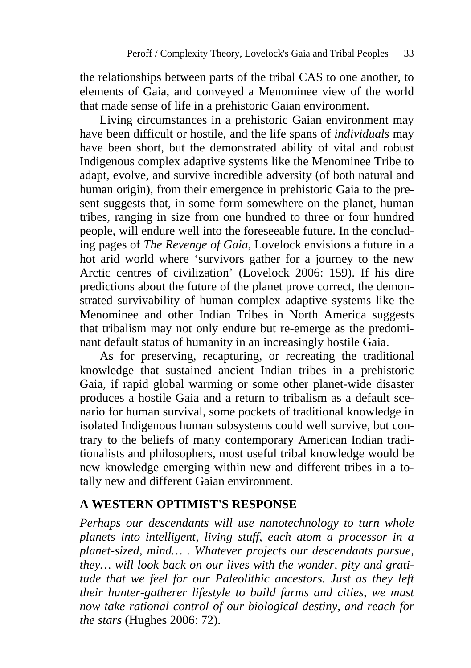the relationships between parts of the tribal CAS to one another, to elements of Gaia, and conveyed a Menominee view of the world that made sense of life in a prehistoric Gaian environment.

Living circumstances in a prehistoric Gaian environment may have been difficult or hostile, and the life spans of *individuals* may have been short, but the demonstrated ability of vital and robust Indigenous complex adaptive systems like the Menominee Tribe to adapt, evolve, and survive incredible adversity (of both natural and human origin), from their emergence in prehistoric Gaia to the present suggests that, in some form somewhere on the planet, human tribes, ranging in size from one hundred to three or four hundred people, will endure well into the foreseeable future. In the concluding pages of *The Revenge of Gaia*, Lovelock envisions a future in a hot arid world where 'survivors gather for a journey to the new Arctic centres of civilization' (Lovelock 2006: 159). If his dire predictions about the future of the planet prove correct, the demonstrated survivability of human complex adaptive systems like the Menominee and other Indian Tribes in North America suggests that tribalism may not only endure but re-emerge as the predominant default status of humanity in an increasingly hostile Gaia.

As for preserving, recapturing, or recreating the traditional knowledge that sustained ancient Indian tribes in a prehistoric Gaia, if rapid global warming or some other planet-wide disaster produces a hostile Gaia and a return to tribalism as a default scenario for human survival, some pockets of traditional knowledge in isolated Indigenous human subsystems could well survive, but contrary to the beliefs of many contemporary American Indian traditionalists and philosophers, most useful tribal knowledge would be new knowledge emerging within new and different tribes in a totally new and different Gaian environment.

#### **A WESTERN OPTIMIST'S RESPONSE**

*Perhaps our descendants will use nanotechnology to turn whole planets into intelligent, living stuff, each atom a processor in a planet-sized, mind… . Whatever projects our descendants pursue, they… will look back on our lives with the wonder, pity and grati*tude that we feel for our Paleolithic ancestors. Just as they left *their hunter-gatherer lifestyle to build farms and cities, we must now take rational control of our biological destiny, and reach for the stars* (Hughes 2006: 72).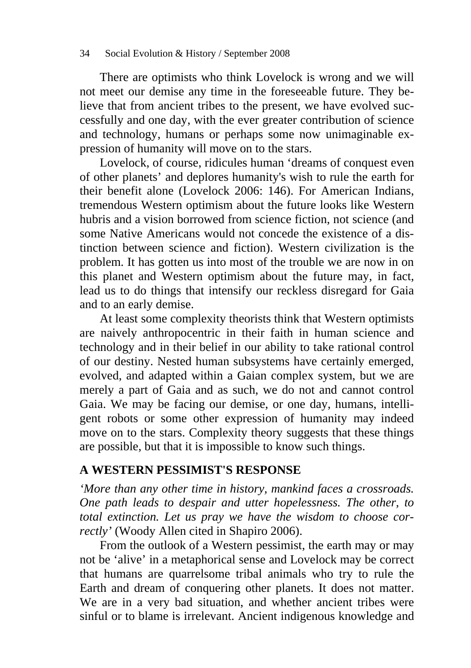#### 34 Social Evolution & History / September 2008

There are optimists who think Lovelock is wrong and we will not meet our demise any time in the foreseeable future. They believe that from ancient tribes to the present, we have evolved successfully and one day, with the ever greater contribution of science and technology, humans or perhaps some now unimaginable expression of humanity will move on to the stars.

Lovelock, of course, ridicules human 'dreams of conquest even of other planets' and deplores humanity's wish to rule the earth for their benefit alone (Lovelock 2006: 146). For American Indians, tremendous Western optimism about the future looks like Western hubris and a vision borrowed from science fiction, not science (and some Native Americans would not concede the existence of a distinction between science and fiction). Western civilization is the problem. It has gotten us into most of the trouble we are now in on this planet and Western optimism about the future may, in fact, lead us to do things that intensify our reckless disregard for Gaia and to an early demise.

At least some complexity theorists think that Western optimists are naively anthropocentric in their faith in human science and technology and in their belief in our ability to take rational control of our destiny. Nested human subsystems have certainly emerged, evolved, and adapted within a Gaian complex system, but we are merely a part of Gaia and as such, we do not and cannot control Gaia. We may be facing our demise, or one day, humans, intelligent robots or some other expression of humanity may indeed move on to the stars. Complexity theory suggests that these things are possible, but that it is impossible to know such things.

#### **A WESTERN PESSIMIST'S RESPONSE**

*'More than any other time in history, mankind faces a crossroads. One path leads to despair and utter hopelessness. The other, to total extinction. Let us pray we have the wisdom to choose correctly'* (Woody Allen cited in Shapiro 2006).

From the outlook of a Western pessimist, the earth may or may not be 'alive' in a metaphorical sense and Lovelock may be correct that humans are quarrelsome tribal animals who try to rule the Earth and dream of conquering other planets. It does not matter. We are in a very bad situation, and whether ancient tribes were sinful or to blame is irrelevant. Ancient indigenous knowledge and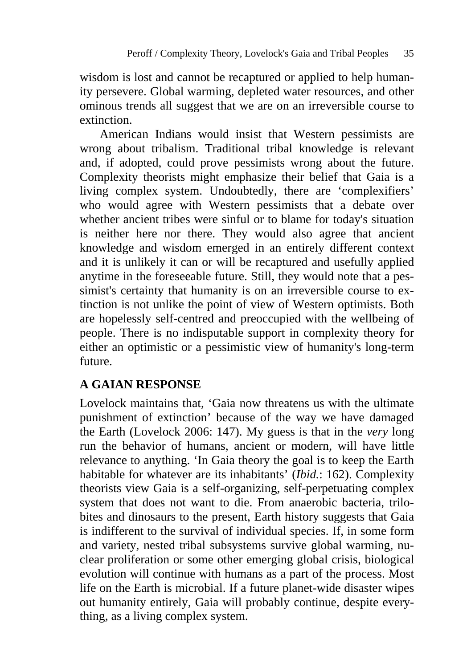wisdom is lost and cannot be recaptured or applied to help humanity persevere. Global warming, depleted water resources, and other ominous trends all suggest that we are on an irreversible course to extinction.

American Indians would insist that Western pessimists are wrong about tribalism. Traditional tribal knowledge is relevant and, if adopted, could prove pessimists wrong about the future. Complexity theorists might emphasize their belief that Gaia is a living complex system. Undoubtedly, there are 'complexifiers' who would agree with Western pessimists that a debate over whether ancient tribes were sinful or to blame for today's situation is neither here nor there. They would also agree that ancient knowledge and wisdom emerged in an entirely different context and it is unlikely it can or will be recaptured and usefully applied anytime in the foreseeable future. Still, they would note that a pessimist's certainty that humanity is on an irreversible course to extinction is not unlike the point of view of Western optimists. Both are hopelessly self-centred and preoccupied with the wellbeing of people. There is no indisputable support in complexity theory for either an optimistic or a pessimistic view of humanity's long-term future.

#### **A GAIAN RESPONSE**

Lovelock maintains that, 'Gaia now threatens us with the ultimate punishment of extinction' because of the way we have damaged the Earth (Lovelock 2006: 147). My guess is that in the *very* long run the behavior of humans, ancient or modern, will have little relevance to anything. 'In Gaia theory the goal is to keep the Earth habitable for whatever are its inhabitants' (*Ibid.*: 162). Complexity theorists view Gaia is a self-organizing, self-perpetuating complex system that does not want to die. From anaerobic bacteria, trilobites and dinosaurs to the present, Earth history suggests that Gaia is indifferent to the survival of individual species. If, in some form and variety, nested tribal subsystems survive global warming, nuclear proliferation or some other emerging global crisis, biological evolution will continue with humans as a part of the process. Most life on the Earth is microbial. If a future planet-wide disaster wipes out humanity entirely, Gaia will probably continue, despite everything, as a living complex system.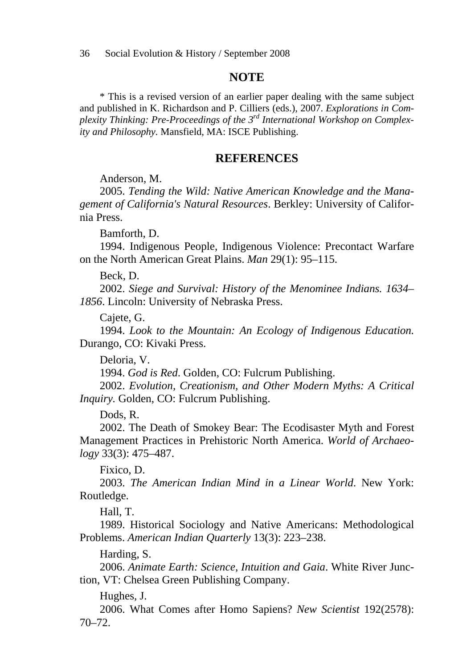36 Social Evolution & History / September 2008

#### **NOTE**

\* This is a revised version of an earlier paper dealing with the same subject and published in K. Richardson and P. Cilliers (eds.), 2007. *Explorations in Complexity Thinking: Pre-Proceedings of the 3rd International Workshop on Complexity and Philosophy.* Mansfield, MA: ISCE Publishing.

#### **REFERENCES**

Anderson, M.

2005. *Tending the Wild: Native American Knowledge and the Management of California's Natural Resources*. Berkley: University of California Press.

Bamforth, D.

1994. Indigenous People, Indigenous Violence: Precontact Warfare on the North American Great Plains. *Man* 29(1): 95–115.

Beck, D.

2002. *Siege and Survival: History of the Menominee Indians. 1634– 1856*. Lincoln: University of Nebraska Press.

Cajete, G.

1994. *Look to the Mountain: An Ecology of Indigenous Education.* Durango, CO: Kivaki Press.

Deloria, V.

1994. *God is Red*. Golden, CO: Fulcrum Publishing.

2002. *Evolution, Creationism, and Other Modern Myths: A Critical Inquiry.* Golden, CO: Fulcrum Publishing.

Dods, R.

2002. The Death of Smokey Bear: The Ecodisaster Myth and Forest Management Practices in Prehistoric North America. *World of Archaeology* 33(3): 475–487.

Fixico, D.

2003. *The American Indian Mind in a Linear World*. New York: Routledge.

Hall, T.

1989. Historical Sociology and Native Americans: Methodological Problems. *American Indian Quarterly* 13(3): 223–238.

Harding, S.

2006. *Animate Earth: Science, Intuition and Gaia*. White River Junction, VT: Chelsea Green Publishing Company.

Hughes, J.

2006. What Comes after Homo Sapiens? *New Scientist* 192(2578): 70–72.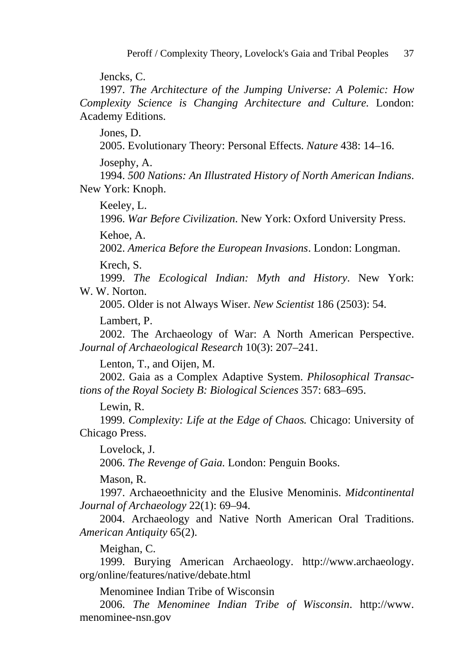Jencks, C.

1997. *The Architecture of the Jumping Universe: A Polemic: How Complexity Science is Changing Architecture and Culture.* London: Academy Editions.

Jones, D.

2005. Evolutionary Theory: Personal Effects. *Nature* 438: 14–16.

Josephy, A.

1994. *500 Nations: An Illustrated History of North American Indians*. New York: Knoph.

Keeley, L.

1996. *War Before Civilization*. New York: Oxford University Press.

Kehoe, A.

2002. *America Before the European Invasions*. London: Longman.

Krech, S.

1999. *The Ecological Indian: Myth and History*. New York: W. W. Norton.

2005. Older is not Always Wiser. *New Scientist* 186 (2503): 54.

Lambert, P.

2002. The Archaeology of War: A North American Perspective. *Journal of Archaeological Research* 10(3): 207–241.

Lenton, T., and Oijen, M.

2002. Gaia as a Complex Adaptive System. *Philosophical Transactions of the Royal Society B: Biological Sciences* 357: 683–695.

Lewin, R.

1999. *Complexity: Life at the Edge of Chaos.* Chicago: University of Chicago Press.

Lovelock, J.

2006. *The Revenge of Gaia.* London: Penguin Books.

Mason, R.

1997. Archaeoethnicity and the Elusive Menominis. *Midcontinental Journal of Archaeology* 22(1): 69–94.

2004. Archaeology and Native North American Oral Traditions. *American Antiquity* 65(2).

Meighan, C.

1999. Burying American Archaeology. http://www.archaeology. org/online/features/native/debate.html

Menominee Indian Tribe of Wisconsin

2006. *The Menominee Indian Tribe of Wisconsin*. [http://www](http://www/). menominee-nsn.gov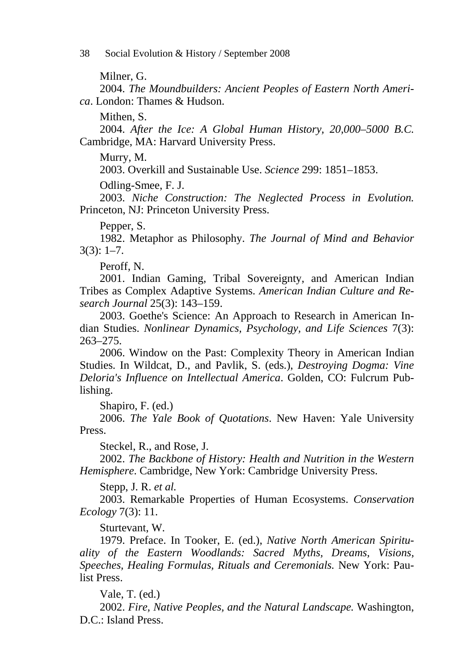38 Social Evolution & History / September 2008

Milner, G.

2004. *The Moundbuilders: Ancient Peoples of Eastern North America*. London: Thames & Hudson.

Mithen, S.

2004. *After the Ice: A Global Human History, 20,000–5000 B.C.* Cambridge, MA: Harvard University Press.

Murry, M.

2003. Overkill and Sustainable Use. *Science* 299: 1851–1853.

Odling-Smee, F. J.

2003. *Niche Construction: The Neglected Process in Evolution.* Princeton, NJ: Princeton University Press.

Pepper, S.

1982. Metaphor as Philosophy. *The Journal of Mind and Behavior*  $3(3): 1-7.$ 

Peroff, N.

2001. Indian Gaming, Tribal Sovereignty, and American Indian Tribes as Complex Adaptive Systems. *American Indian Culture and Research Journal* 25(3): 143–159.

2003. Goethe's Science: An Approach to Research in American Indian Studies. *Nonlinear Dynamics, Psychology, and Life Sciences* 7(3): 263–275.

2006. Window on the Past: Complexity Theory in American Indian Studies. In Wildcat, D., and Pavlik, S. (eds.), *Destroying Dogma: Vine Deloria's Influence on Intellectual America*. Golden, CO: Fulcrum Publishing.

Shapiro, F. (ed.)

2006. *The Yale Book of Quotations*. New Haven: Yale University Press.

Steckel, R., and Rose, J.

2002. *The Backbone of History: Health and Nutrition in the Western Hemisphere*. Cambridge, New York: Cambridge University Press.

Stepp, J. R. *et al.*

2003. Remarkable Properties of Human Ecosystems. *Conservation Ecology* 7(3): 11.

Sturtevant, W.

1979. Preface. In Tooker, E. (ed.), *Native North American Spirituality of the Eastern Woodlands: Sacred Myths, Dreams, Visions, Speeches, Healing Formulas, Rituals and Ceremonials.* New York: Paulist Press.

Vale, T. (ed.)

2002. *Fire, Native Peoples, and the Natural Landscape.* Washington, D.C.: Island Press.